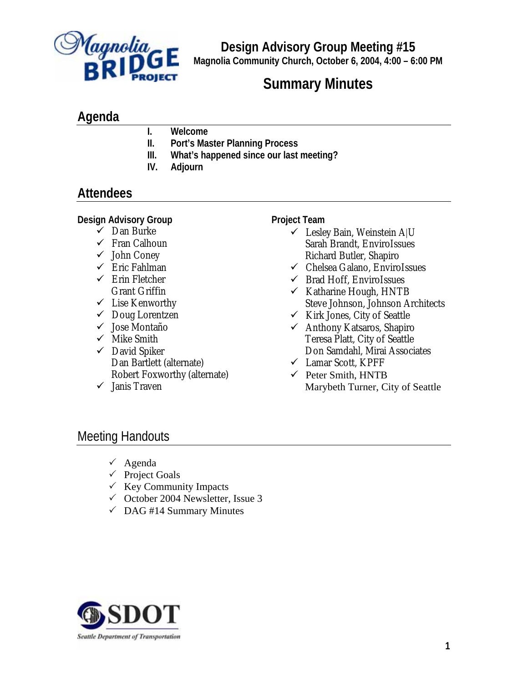

**Design Advisory Group Meeting #15 Magnolia Community Church, October 6, 2004, 4:00 – 6:00 PM**

# **Summary Minutes**

### **Agenda**

- **I. Welcome**
- **II. Port's Master Planning Process**
- **III. What's happened since our last meeting?**
- **IV. Adjourn**

## **Attendees**

#### **Design Advisory Group**

- $\checkmark$  Dan Burke
- $\checkmark$  Fran Calhoun
- $\checkmark$  John Coney
- $\checkmark$  Eric Fahlman
- $\checkmark$  Erin Fletcher Grant Griffin
- $\checkmark$  Lise Kenworthy
- $\checkmark$  Doug Lorentzen
- $\checkmark$  Jose Montaño
- $\checkmark$  Mike Smith
- $\checkmark$  David Spiker Dan Bartlett (alternate) Robert Foxworthy (alternate)
- $\checkmark$  Janis Traven

#### **Project Team**

- $\checkmark$  Lesley Bain, Weinstein A|U Sarah Brandt, EnviroIssues Richard Butler, Shapiro
- $\checkmark$  Chelsea Galano, EnviroIssues
- $\checkmark$  Brad Hoff, EnviroIssues
- $\checkmark$  Katharine Hough, HNTB Steve Johnson, Johnson Architects
- $\checkmark$  Kirk Jones, City of Seattle
- $\checkmark$  Anthony Katsaros, Shapiro Teresa Platt, City of Seattle Don Samdahl, Mirai Associates
- $\checkmark$  Lamar Scott, KPFF
- $\checkmark$  Peter Smith, HNTB Marybeth Turner, City of Seattle

## Meeting Handouts

- $\checkmark$  Agenda
- $\checkmark$  Project Goals
- $\checkmark$  Key Community Impacts
- $\checkmark$  October 2004 Newsletter, Issue 3
- $\checkmark$  DAG #14 Summary Minutes

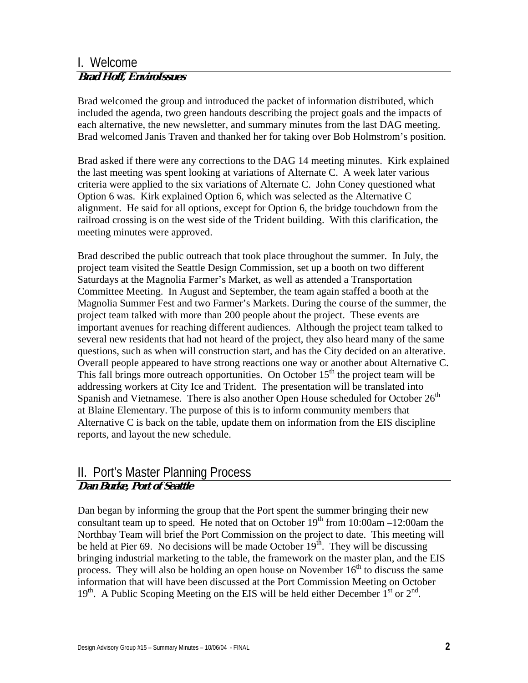### I. Welcome **Brad Hoff, EnviroIssues**

Brad welcomed the group and introduced the packet of information distributed, which included the agenda, two green handouts describing the project goals and the impacts of each alternative, the new newsletter, and summary minutes from the last DAG meeting. Brad welcomed Janis Traven and thanked her for taking over Bob Holmstrom's position.

Brad asked if there were any corrections to the DAG 14 meeting minutes. Kirk explained the last meeting was spent looking at variations of Alternate C. A week later various criteria were applied to the six variations of Alternate C. John Coney questioned what Option 6 was. Kirk explained Option 6, which was selected as the Alternative C alignment. He said for all options, except for Option 6, the bridge touchdown from the railroad crossing is on the west side of the Trident building. With this clarification, the meeting minutes were approved.

Brad described the public outreach that took place throughout the summer. In July, the project team visited the Seattle Design Commission, set up a booth on two different Saturdays at the Magnolia Farmer's Market, as well as attended a Transportation Committee Meeting. In August and September, the team again staffed a booth at the Magnolia Summer Fest and two Farmer's Markets. During the course of the summer, the project team talked with more than 200 people about the project. These events are important avenues for reaching different audiences. Although the project team talked to several new residents that had not heard of the project, they also heard many of the same questions, such as when will construction start, and has the City decided on an alterative. Overall people appeared to have strong reactions one way or another about Alternative C. This fall brings more outreach opportunities. On October  $15<sup>th</sup>$  the project team will be addressing workers at City Ice and Trident. The presentation will be translated into Spanish and Vietnamese. There is also another Open House scheduled for October  $26<sup>th</sup>$ at Blaine Elementary. The purpose of this is to inform community members that Alternative C is back on the table, update them on information from the EIS discipline reports, and layout the new schedule.

### II. Port's Master Planning Process **Dan Burke, Port of Seattle**

Dan began by informing the group that the Port spent the summer bringing their new consultant team up to speed. He noted that on October  $19<sup>th</sup>$  from  $10:00$ am  $-12:00$ am the Northbay Team will brief the Port Commission on the project to date. This meeting will be held at Pier 69. No decisions will be made October  $19<sup>th</sup>$ . They will be discussing bringing industrial marketing to the table, the framework on the master plan, and the EIS process. They will also be holding an open house on November  $16<sup>th</sup>$  to discuss the same information that will have been discussed at the Port Commission Meeting on October  $19<sup>th</sup>$ . A Public Scoping Meeting on the EIS will be held either December 1<sup>st</sup> or  $2<sup>nd</sup>$ .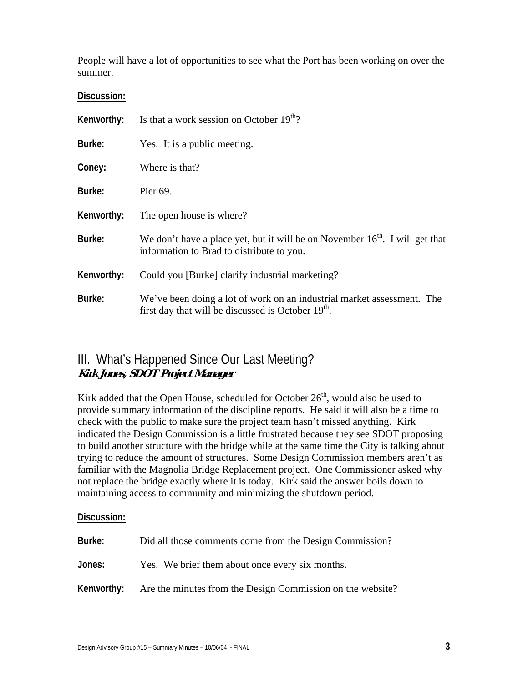People will have a lot of opportunities to see what the Port has been working on over the summer.

#### **Discussion:**

| Kenworthy: | Is that a work session on October $19th$ ?                                                                                               |
|------------|------------------------------------------------------------------------------------------------------------------------------------------|
| Burke:     | Yes. It is a public meeting.                                                                                                             |
| Coney:     | Where is that?                                                                                                                           |
| Burke:     | Pier 69.                                                                                                                                 |
| Kenworthy: | The open house is where?                                                                                                                 |
| Burke:     | We don't have a place yet, but it will be on November $16th$ . I will get that<br>information to Brad to distribute to you.              |
| Kenworthy: | Could you [Burke] clarify industrial marketing?                                                                                          |
| Burke:     | We've been doing a lot of work on an industrial market assessment. The<br>first day that will be discussed is October 19 <sup>th</sup> . |

### III. What's Happened Since Our Last Meeting? **Kirk Jones, SDOT Project Manager**

Kirk added that the Open House, scheduled for October 26<sup>th</sup>, would also be used to provide summary information of the discipline reports. He said it will also be a time to check with the public to make sure the project team hasn't missed anything. Kirk indicated the Design Commission is a little frustrated because they see SDOT proposing to build another structure with the bridge while at the same time the City is talking about trying to reduce the amount of structures. Some Design Commission members aren't as familiar with the Magnolia Bridge Replacement project. One Commissioner asked why not replace the bridge exactly where it is today. Kirk said the answer boils down to maintaining access to community and minimizing the shutdown period.

#### **Discussion:**

| Burke: | Did all those comments come from the Design Commission?               |
|--------|-----------------------------------------------------------------------|
| Jones: | Yes. We brief them about once every six months.                       |
|        | Kenworthy: Are the minutes from the Design Commission on the website? |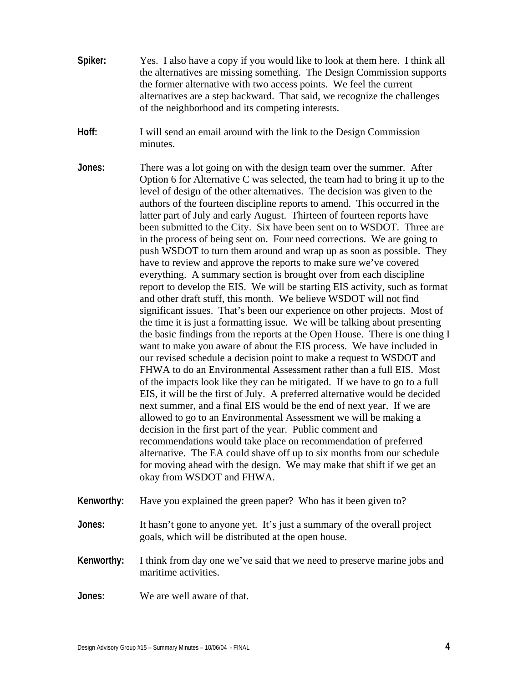- **Spiker:** Yes. I also have a copy if you would like to look at them here. I think all the alternatives are missing something. The Design Commission supports the former alternative with two access points. We feel the current alternatives are a step backward. That said, we recognize the challenges of the neighborhood and its competing interests.
- **Hoff:** I will send an email around with the link to the Design Commission minutes.
- **Jones:** There was a lot going on with the design team over the summer. After Option 6 for Alternative C was selected, the team had to bring it up to the level of design of the other alternatives. The decision was given to the authors of the fourteen discipline reports to amend. This occurred in the latter part of July and early August. Thirteen of fourteen reports have been submitted to the City. Six have been sent on to WSDOT. Three are in the process of being sent on. Four need corrections. We are going to push WSDOT to turn them around and wrap up as soon as possible. They have to review and approve the reports to make sure we've covered everything. A summary section is brought over from each discipline report to develop the EIS. We will be starting EIS activity, such as format and other draft stuff, this month. We believe WSDOT will not find significant issues. That's been our experience on other projects. Most of the time it is just a formatting issue. We will be talking about presenting the basic findings from the reports at the Open House. There is one thing I want to make you aware of about the EIS process. We have included in our revised schedule a decision point to make a request to WSDOT and FHWA to do an Environmental Assessment rather than a full EIS. Most of the impacts look like they can be mitigated. If we have to go to a full EIS, it will be the first of July. A preferred alternative would be decided next summer, and a final EIS would be the end of next year. If we are allowed to go to an Environmental Assessment we will be making a decision in the first part of the year. Public comment and recommendations would take place on recommendation of preferred alternative. The EA could shave off up to six months from our schedule for moving ahead with the design. We may make that shift if we get an okay from WSDOT and FHWA.
- **Kenworthy:** Have you explained the green paper? Who has it been given to?
- **Jones:** It hasn't gone to anyone yet. It's just a summary of the overall project goals, which will be distributed at the open house.
- **Kenworthy:** I think from day one we've said that we need to preserve marine jobs and maritime activities.
- **Jones:** We are well aware of that.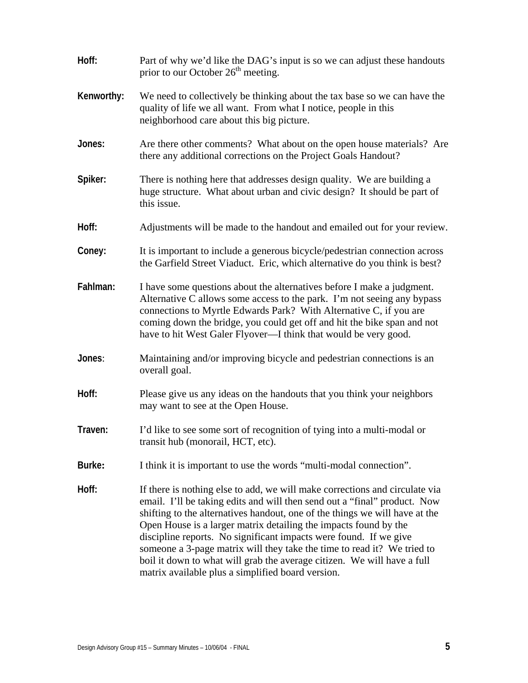| Hoff:      | Part of why we'd like the DAG's input is so we can adjust these handouts<br>prior to our October 26 <sup>th</sup> meeting.                                                                                                                                                                                                                                                                                                                                                                                                                                                                  |
|------------|---------------------------------------------------------------------------------------------------------------------------------------------------------------------------------------------------------------------------------------------------------------------------------------------------------------------------------------------------------------------------------------------------------------------------------------------------------------------------------------------------------------------------------------------------------------------------------------------|
| Kenworthy: | We need to collectively be thinking about the tax base so we can have the<br>quality of life we all want. From what I notice, people in this<br>neighborhood care about this big picture.                                                                                                                                                                                                                                                                                                                                                                                                   |
| Jones:     | Are there other comments? What about on the open house materials? Are<br>there any additional corrections on the Project Goals Handout?                                                                                                                                                                                                                                                                                                                                                                                                                                                     |
| Spiker:    | There is nothing here that addresses design quality. We are building a<br>huge structure. What about urban and civic design? It should be part of<br>this issue.                                                                                                                                                                                                                                                                                                                                                                                                                            |
| Hoff:      | Adjustments will be made to the handout and emailed out for your review.                                                                                                                                                                                                                                                                                                                                                                                                                                                                                                                    |
| Coney:     | It is important to include a generous bicycle/pedestrian connection across<br>the Garfield Street Viaduct. Eric, which alternative do you think is best?                                                                                                                                                                                                                                                                                                                                                                                                                                    |
| Fahlman:   | I have some questions about the alternatives before I make a judgment.<br>Alternative C allows some access to the park. I'm not seeing any bypass<br>connections to Myrtle Edwards Park? With Alternative C, if you are<br>coming down the bridge, you could get off and hit the bike span and not<br>have to hit West Galer Flyover—I think that would be very good.                                                                                                                                                                                                                       |
| Jones:     | Maintaining and/or improving bicycle and pedestrian connections is an<br>overall goal.                                                                                                                                                                                                                                                                                                                                                                                                                                                                                                      |
| Hoff:      | Please give us any ideas on the handouts that you think your neighbors<br>may want to see at the Open House.                                                                                                                                                                                                                                                                                                                                                                                                                                                                                |
| Traven:    | I'd like to see some sort of recognition of tying into a multi-modal or<br>transit hub (monorail, HCT, etc).                                                                                                                                                                                                                                                                                                                                                                                                                                                                                |
| Burke:     | I think it is important to use the words "multi-modal connection".                                                                                                                                                                                                                                                                                                                                                                                                                                                                                                                          |
| Hoff:      | If there is nothing else to add, we will make corrections and circulate via<br>email. I'll be taking edits and will then send out a "final" product. Now<br>shifting to the alternatives handout, one of the things we will have at the<br>Open House is a larger matrix detailing the impacts found by the<br>discipline reports. No significant impacts were found. If we give<br>someone a 3-page matrix will they take the time to read it? We tried to<br>boil it down to what will grab the average citizen. We will have a full<br>matrix available plus a simplified board version. |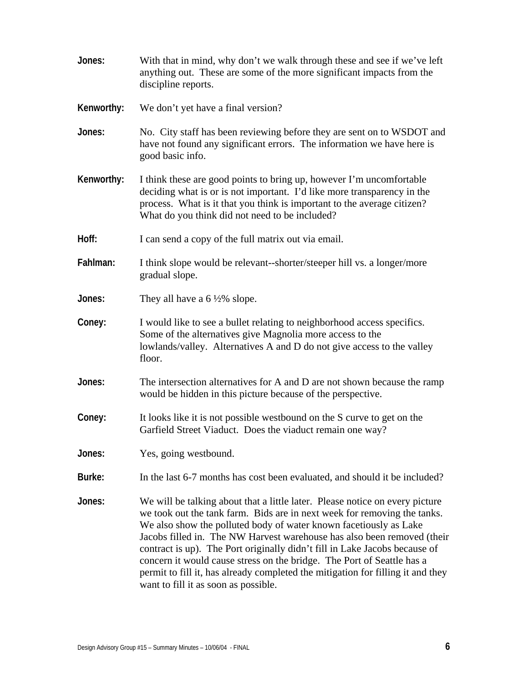| Jones:     | With that in mind, why don't we walk through these and see if we've left<br>anything out. These are some of the more significant impacts from the<br>discipline reports.                                                                                                                                                                                                                                                                                                                                                                                                                    |
|------------|---------------------------------------------------------------------------------------------------------------------------------------------------------------------------------------------------------------------------------------------------------------------------------------------------------------------------------------------------------------------------------------------------------------------------------------------------------------------------------------------------------------------------------------------------------------------------------------------|
| Kenworthy: | We don't yet have a final version?                                                                                                                                                                                                                                                                                                                                                                                                                                                                                                                                                          |
| Jones:     | No. City staff has been reviewing before they are sent on to WSDOT and<br>have not found any significant errors. The information we have here is<br>good basic info.                                                                                                                                                                                                                                                                                                                                                                                                                        |
| Kenworthy: | I think these are good points to bring up, however I'm uncomfortable<br>deciding what is or is not important. I'd like more transparency in the<br>process. What is it that you think is important to the average citizen?<br>What do you think did not need to be included?                                                                                                                                                                                                                                                                                                                |
| Hoff:      | I can send a copy of the full matrix out via email.                                                                                                                                                                                                                                                                                                                                                                                                                                                                                                                                         |
| Fahlman:   | I think slope would be relevant-shorter/steeper hill vs. a longer/more<br>gradual slope.                                                                                                                                                                                                                                                                                                                                                                                                                                                                                                    |
| Jones:     | They all have a $6\frac{1}{2}\%$ slope.                                                                                                                                                                                                                                                                                                                                                                                                                                                                                                                                                     |
| Coney:     | I would like to see a bullet relating to neighborhood access specifics.<br>Some of the alternatives give Magnolia more access to the<br>lowlands/valley. Alternatives A and D do not give access to the valley<br>floor.                                                                                                                                                                                                                                                                                                                                                                    |
| Jones:     | The intersection alternatives for A and D are not shown because the ramp<br>would be hidden in this picture because of the perspective.                                                                                                                                                                                                                                                                                                                                                                                                                                                     |
| Coney:     | It looks like it is not possible westbound on the S curve to get on the<br>Garfield Street Viaduct. Does the viaduct remain one way?                                                                                                                                                                                                                                                                                                                                                                                                                                                        |
| Jones:     | Yes, going westbound.                                                                                                                                                                                                                                                                                                                                                                                                                                                                                                                                                                       |
| Burke:     | In the last 6-7 months has cost been evaluated, and should it be included?                                                                                                                                                                                                                                                                                                                                                                                                                                                                                                                  |
| Jones:     | We will be talking about that a little later. Please notice on every picture<br>we took out the tank farm. Bids are in next week for removing the tanks.<br>We also show the polluted body of water known facetiously as Lake<br>Jacobs filled in. The NW Harvest warehouse has also been removed (their<br>contract is up). The Port originally didn't fill in Lake Jacobs because of<br>concern it would cause stress on the bridge. The Port of Seattle has a<br>permit to fill it, has already completed the mitigation for filling it and they<br>want to fill it as soon as possible. |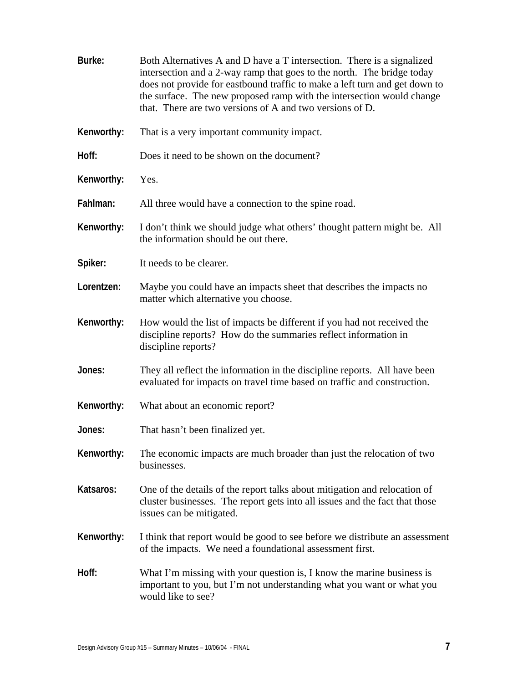| Burke:     | Both Alternatives A and D have a T intersection. There is a signalized<br>intersection and a 2-way ramp that goes to the north. The bridge today<br>does not provide for eastbound traffic to make a left turn and get down to<br>the surface. The new proposed ramp with the intersection would change<br>that. There are two versions of A and two versions of D. |
|------------|---------------------------------------------------------------------------------------------------------------------------------------------------------------------------------------------------------------------------------------------------------------------------------------------------------------------------------------------------------------------|
| Kenworthy: | That is a very important community impact.                                                                                                                                                                                                                                                                                                                          |
| Hoff:      | Does it need to be shown on the document?                                                                                                                                                                                                                                                                                                                           |
| Kenworthy: | Yes.                                                                                                                                                                                                                                                                                                                                                                |
| Fahlman:   | All three would have a connection to the spine road.                                                                                                                                                                                                                                                                                                                |
| Kenworthy: | I don't think we should judge what others' thought pattern might be. All<br>the information should be out there.                                                                                                                                                                                                                                                    |
| Spiker:    | It needs to be clearer.                                                                                                                                                                                                                                                                                                                                             |
| Lorentzen: | Maybe you could have an impacts sheet that describes the impacts no<br>matter which alternative you choose.                                                                                                                                                                                                                                                         |
| Kenworthy: | How would the list of impacts be different if you had not received the<br>discipline reports? How do the summaries reflect information in<br>discipline reports?                                                                                                                                                                                                    |
| Jones:     | They all reflect the information in the discipline reports. All have been<br>evaluated for impacts on travel time based on traffic and construction.                                                                                                                                                                                                                |
| Kenworthy: | What about an economic report?                                                                                                                                                                                                                                                                                                                                      |
| Jones:     | That hasn't been finalized yet.                                                                                                                                                                                                                                                                                                                                     |
| Kenworthy: | The economic impacts are much broader than just the relocation of two<br>businesses.                                                                                                                                                                                                                                                                                |
| Katsaros:  | One of the details of the report talks about mitigation and relocation of<br>cluster businesses. The report gets into all issues and the fact that those<br>issues can be mitigated.                                                                                                                                                                                |
| Kenworthy: | I think that report would be good to see before we distribute an assessment<br>of the impacts. We need a foundational assessment first.                                                                                                                                                                                                                             |
| Hoff:      | What I'm missing with your question is, I know the marine business is<br>important to you, but I'm not understanding what you want or what you<br>would like to see?                                                                                                                                                                                                |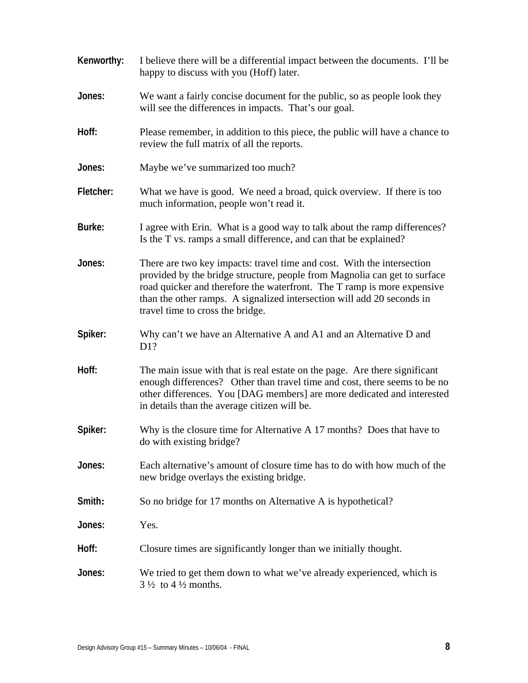| Kenworthy: | I believe there will be a differential impact between the documents. I'll be<br>happy to discuss with you (Hoff) later.                                                                                                                                                                                                                      |
|------------|----------------------------------------------------------------------------------------------------------------------------------------------------------------------------------------------------------------------------------------------------------------------------------------------------------------------------------------------|
| Jones:     | We want a fairly concise document for the public, so as people look they<br>will see the differences in impacts. That's our goal.                                                                                                                                                                                                            |
| Hoff:      | Please remember, in addition to this piece, the public will have a chance to<br>review the full matrix of all the reports.                                                                                                                                                                                                                   |
| Jones:     | Maybe we've summarized too much?                                                                                                                                                                                                                                                                                                             |
| Fletcher:  | What we have is good. We need a broad, quick overview. If there is too<br>much information, people won't read it.                                                                                                                                                                                                                            |
| Burke:     | I agree with Erin. What is a good way to talk about the ramp differences?<br>Is the T vs. ramps a small difference, and can that be explained?                                                                                                                                                                                               |
| Jones:     | There are two key impacts: travel time and cost. With the intersection<br>provided by the bridge structure, people from Magnolia can get to surface<br>road quicker and therefore the waterfront. The T ramp is more expensive<br>than the other ramps. A signalized intersection will add 20 seconds in<br>travel time to cross the bridge. |
| Spiker:    | Why can't we have an Alternative A and A1 and an Alternative D and<br>D1?                                                                                                                                                                                                                                                                    |
| Hoff:      | The main issue with that is real estate on the page. Are there significant<br>enough differences? Other than travel time and cost, there seems to be no<br>other differences. You [DAG members] are more dedicated and interested<br>in details than the average citizen will be.                                                            |
| Spiker:    | Why is the closure time for Alternative A 17 months? Does that have to<br>do with existing bridge?                                                                                                                                                                                                                                           |
| Jones:     | Each alternative's amount of closure time has to do with how much of the<br>new bridge overlays the existing bridge.                                                                                                                                                                                                                         |
| Smith:     | So no bridge for 17 months on Alternative A is hypothetical?                                                                                                                                                                                                                                                                                 |
| Jones:     | Yes.                                                                                                                                                                                                                                                                                                                                         |
| Hoff:      | Closure times are significantly longer than we initially thought.                                                                                                                                                                                                                                                                            |
| Jones:     | We tried to get them down to what we've already experienced, which is<br>$3\frac{1}{2}$ to $4\frac{1}{2}$ months.                                                                                                                                                                                                                            |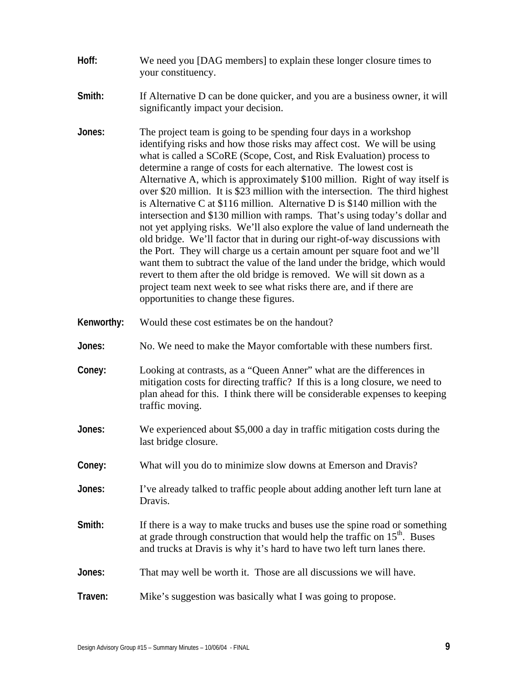- **Hoff:** We need you [DAG members] to explain these longer closure times to your constituency.
- **Smith:** If Alternative D can be done quicker, and you are a business owner, it will significantly impact your decision.
- **Jones:** The project team is going to be spending four days in a workshop identifying risks and how those risks may affect cost. We will be using what is called a SCoRE (Scope, Cost, and Risk Evaluation) process to determine a range of costs for each alternative. The lowest cost is Alternative A, which is approximately \$100 million. Right of way itself is over \$20 million. It is \$23 million with the intersection. The third highest is Alternative C at \$116 million. Alternative D is \$140 million with the intersection and \$130 million with ramps. That's using today's dollar and not yet applying risks. We'll also explore the value of land underneath the old bridge. We'll factor that in during our right-of-way discussions with the Port. They will charge us a certain amount per square foot and we'll want them to subtract the value of the land under the bridge, which would revert to them after the old bridge is removed. We will sit down as a project team next week to see what risks there are, and if there are opportunities to change these figures.
- **Kenworthy:** Would these cost estimates be on the handout?
- **Jones:** No. We need to make the Mayor comfortable with these numbers first.
- **Coney:** Looking at contrasts, as a "Queen Anner" what are the differences in mitigation costs for directing traffic? If this is a long closure, we need to plan ahead for this. I think there will be considerable expenses to keeping traffic moving.
- **Jones:** We experienced about \$5,000 a day in traffic mitigation costs during the last bridge closure.
- **Coney:** What will you do to minimize slow downs at Emerson and Dravis?
- **Jones:** I've already talked to traffic people about adding another left turn lane at Dravis.
- **Smith:** If there is a way to make trucks and buses use the spine road or something at grade through construction that would help the traffic on  $15<sup>th</sup>$ . Buses and trucks at Dravis is why it's hard to have two left turn lanes there.
- **Jones:** That may well be worth it. Those are all discussions we will have.
- **Traven:** Mike's suggestion was basically what I was going to propose.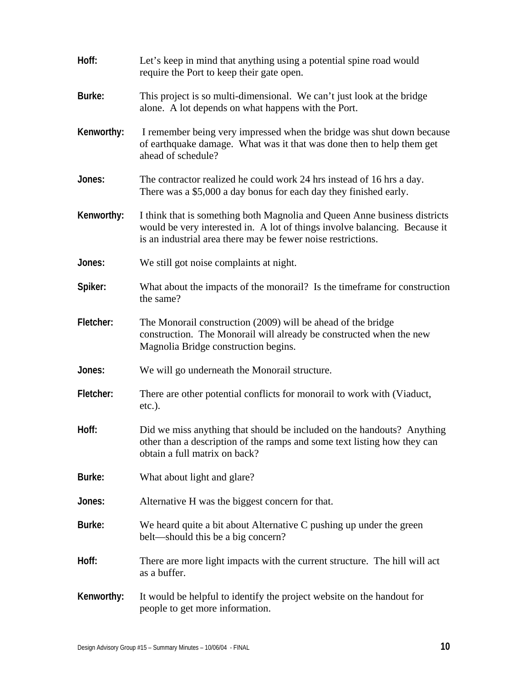| Hoff:      | Let's keep in mind that anything using a potential spine road would<br>require the Port to keep their gate open.                                                                                                        |
|------------|-------------------------------------------------------------------------------------------------------------------------------------------------------------------------------------------------------------------------|
| Burke:     | This project is so multi-dimensional. We can't just look at the bridge<br>alone. A lot depends on what happens with the Port.                                                                                           |
| Kenworthy: | I remember being very impressed when the bridge was shut down because<br>of earthquake damage. What was it that was done then to help them get<br>ahead of schedule?                                                    |
| Jones:     | The contractor realized he could work 24 hrs instead of 16 hrs a day.<br>There was a \$5,000 a day bonus for each day they finished early.                                                                              |
| Kenworthy: | I think that is something both Magnolia and Queen Anne business districts<br>would be very interested in. A lot of things involve balancing. Because it<br>is an industrial area there may be fewer noise restrictions. |
| Jones:     | We still got noise complaints at night.                                                                                                                                                                                 |
| Spiker:    | What about the impacts of the monorail? Is the time frame for construction<br>the same?                                                                                                                                 |
| Fletcher:  | The Monorail construction (2009) will be ahead of the bridge<br>construction. The Monorail will already be constructed when the new<br>Magnolia Bridge construction begins.                                             |
| Jones:     | We will go underneath the Monorail structure.                                                                                                                                                                           |
| Fletcher:  | There are other potential conflicts for monorail to work with (Viaduct,<br>$etc.$ ).                                                                                                                                    |
| Hoff:      | Did we miss anything that should be included on the handouts? Anything<br>other than a description of the ramps and some text listing how they can<br>obtain a full matrix on back?                                     |
| Burke:     | What about light and glare?                                                                                                                                                                                             |
| Jones:     | Alternative H was the biggest concern for that.                                                                                                                                                                         |
| Burke:     | We heard quite a bit about Alternative C pushing up under the green<br>belt—should this be a big concern?                                                                                                               |
| Hoff:      | There are more light impacts with the current structure. The hill will act<br>as a buffer.                                                                                                                              |
| Kenworthy: | It would be helpful to identify the project website on the handout for<br>people to get more information.                                                                                                               |